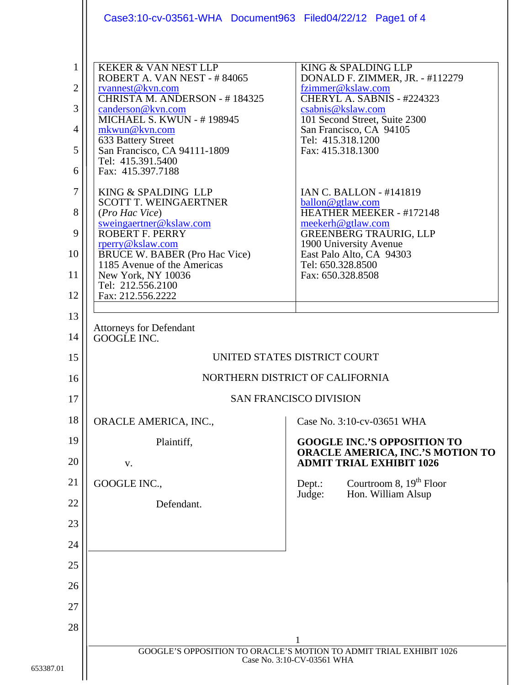|                                                                    | Case3:10-cv-03561-WHA Document963 Filed04/22/12 Page1 of 4                                                                                                                                                                                                                                                                                                                                                                                                                                                                                   |                                                                                                                                                                                                                                                                                                                                                                                                                                                                                     |
|--------------------------------------------------------------------|----------------------------------------------------------------------------------------------------------------------------------------------------------------------------------------------------------------------------------------------------------------------------------------------------------------------------------------------------------------------------------------------------------------------------------------------------------------------------------------------------------------------------------------------|-------------------------------------------------------------------------------------------------------------------------------------------------------------------------------------------------------------------------------------------------------------------------------------------------------------------------------------------------------------------------------------------------------------------------------------------------------------------------------------|
| 1<br>$\overline{2}$<br>3<br>4<br>5<br>6<br>7<br>8<br>9<br>10<br>11 | <b>KEKER &amp; VAN NEST LLP</b><br>ROBERT A. VAN NEST - #84065<br>rvannest@kvn.com<br>CHRISTA M. ANDERSON - #184325<br>canderson@kvn.com<br><b>MICHAEL S. KWUN - #198945</b><br>mkwun@kvn.com<br>633 Battery Street<br>San Francisco, CA 94111-1809<br>Tel: 415.391.5400<br>Fax: 415.397.7188<br>KING & SPALDING LLP<br><b>SCOTT T. WEINGAERTNER</b><br>(Pro Hac Vice)<br>sweingaertner@kslaw.com<br><b>ROBERT F. PERRY</b><br>rperry@kslaw.com<br><b>BRUCE W. BABER (Pro Hac Vice)</b><br>1185 Avenue of the Americas<br>New York, NY 10036 | KING & SPALDING LLP<br>DONALD F. ZIMMER, JR. - #112279<br>fzimmer@kslaw.com<br>CHERYL A. SABNIS - #224323<br>csabnis@kslaw.com<br>101 Second Street, Suite 2300<br>San Francisco, CA 94105<br>Tel: 415.318.1200<br>Fax: 415.318.1300<br><b>IAN C. BALLON - #141819</b><br>ballon@gtlaw.com<br><b>HEATHER MEEKER - #172148</b><br>meekerh@gtlaw.com<br><b>GREENBERG TRAURIG, LLP</b><br>1900 University Avenue<br>East Palo Alto, CA 94303<br>Tel: 650.328.8500<br>Fax: 650.328.8508 |
| 12                                                                 | Tel: 212.556.2100<br>Fax: 212.556.2222                                                                                                                                                                                                                                                                                                                                                                                                                                                                                                       |                                                                                                                                                                                                                                                                                                                                                                                                                                                                                     |
| 13<br>14                                                           | <b>Attorneys for Defendant</b><br>GOOGLE INC.                                                                                                                                                                                                                                                                                                                                                                                                                                                                                                |                                                                                                                                                                                                                                                                                                                                                                                                                                                                                     |
| 15                                                                 | UNITED STATES DISTRICT COURT                                                                                                                                                                                                                                                                                                                                                                                                                                                                                                                 |                                                                                                                                                                                                                                                                                                                                                                                                                                                                                     |
| 16                                                                 | NORTHERN DISTRICT OF CALIFORNIA                                                                                                                                                                                                                                                                                                                                                                                                                                                                                                              |                                                                                                                                                                                                                                                                                                                                                                                                                                                                                     |
| 17                                                                 | <b>SAN FRANCISCO DIVISION</b>                                                                                                                                                                                                                                                                                                                                                                                                                                                                                                                |                                                                                                                                                                                                                                                                                                                                                                                                                                                                                     |
| 18                                                                 | ORACLE AMERICA, INC.,                                                                                                                                                                                                                                                                                                                                                                                                                                                                                                                        | Case No. 3:10-cv-03651 WHA                                                                                                                                                                                                                                                                                                                                                                                                                                                          |
| 19<br>20                                                           | Plaintiff,                                                                                                                                                                                                                                                                                                                                                                                                                                                                                                                                   | <b>GOOGLE INC.'S OPPOSITION TO</b><br>ORACLE AMERICA, INC.'S MOTION TO<br><b>ADMIT TRIAL EXHIBIT 1026</b>                                                                                                                                                                                                                                                                                                                                                                           |
| 21                                                                 | V.<br>GOOGLE INC.,                                                                                                                                                                                                                                                                                                                                                                                                                                                                                                                           | Courtroom 8, $19th$ Floor<br>Dept.:                                                                                                                                                                                                                                                                                                                                                                                                                                                 |
| 22                                                                 | Defendant.                                                                                                                                                                                                                                                                                                                                                                                                                                                                                                                                   | Hon. William Alsup<br>Judge:                                                                                                                                                                                                                                                                                                                                                                                                                                                        |
| 23                                                                 |                                                                                                                                                                                                                                                                                                                                                                                                                                                                                                                                              |                                                                                                                                                                                                                                                                                                                                                                                                                                                                                     |
| 24                                                                 |                                                                                                                                                                                                                                                                                                                                                                                                                                                                                                                                              |                                                                                                                                                                                                                                                                                                                                                                                                                                                                                     |
| 25                                                                 |                                                                                                                                                                                                                                                                                                                                                                                                                                                                                                                                              |                                                                                                                                                                                                                                                                                                                                                                                                                                                                                     |
| 26                                                                 |                                                                                                                                                                                                                                                                                                                                                                                                                                                                                                                                              |                                                                                                                                                                                                                                                                                                                                                                                                                                                                                     |
| 27                                                                 |                                                                                                                                                                                                                                                                                                                                                                                                                                                                                                                                              |                                                                                                                                                                                                                                                                                                                                                                                                                                                                                     |
| 28                                                                 |                                                                                                                                                                                                                                                                                                                                                                                                                                                                                                                                              |                                                                                                                                                                                                                                                                                                                                                                                                                                                                                     |
|                                                                    | GOOGLE'S OPPOSITION TO ORACLE'S MOTION TO ADMIT TRIAL EXHIBIT 1026<br>Case No. 3:10-CV-03561 WHA                                                                                                                                                                                                                                                                                                                                                                                                                                             |                                                                                                                                                                                                                                                                                                                                                                                                                                                                                     |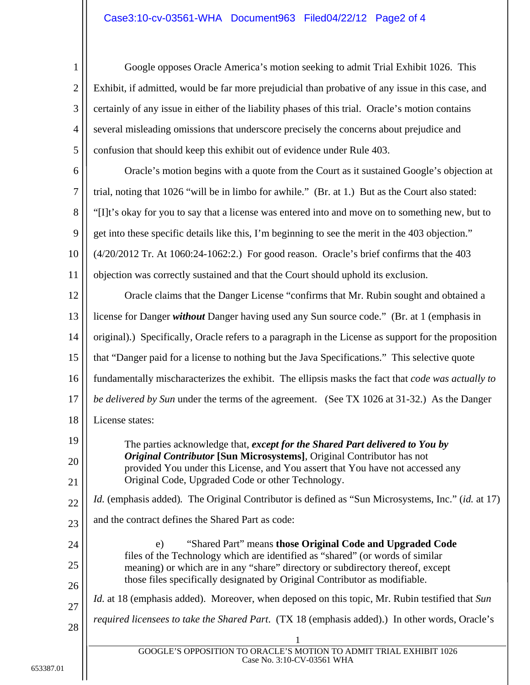## Case3:10-cv-03561-WHA Document963 Filed04/22/12 Page2 of 4

1 2 3 4 5 Google opposes Oracle America's motion seeking to admit Trial Exhibit 1026. This Exhibit, if admitted, would be far more prejudicial than probative of any issue in this case, and certainly of any issue in either of the liability phases of this trial. Oracle's motion contains several misleading omissions that underscore precisely the concerns about prejudice and confusion that should keep this exhibit out of evidence under Rule 403.

6 7 8 9 10 11 Oracle's motion begins with a quote from the Court as it sustained Google's objection at trial, noting that 1026 "will be in limbo for awhile." (Br. at 1.) But as the Court also stated: "[I]t's okay for you to say that a license was entered into and move on to something new, but to get into these specific details like this, I'm beginning to see the merit in the 403 objection." (4/20/2012 Tr. At 1060:24-1062:2.) For good reason. Oracle's brief confirms that the 403 objection was correctly sustained and that the Court should uphold its exclusion.

12 13 14 15 16 17 18 Oracle claims that the Danger License "confirms that Mr. Rubin sought and obtained a license for Danger *without* Danger having used any Sun source code." (Br. at 1 (emphasis in original).) Specifically, Oracle refers to a paragraph in the License as support for the proposition that "Danger paid for a license to nothing but the Java Specifications." This selective quote fundamentally mischaracterizes the exhibit. The ellipsis masks the fact that *code was actually to be delivered by Sun* under the terms of the agreement. (See TX 1026 at 31-32.) As the Danger License states:

The parties acknowledge that, *except for the Shared Part delivered to You by Original Contributor* **[Sun Microsystems]**, Original Contributor has not provided You under this License, and You assert that You have not accessed any Original Code, Upgraded Code or other Technology.

22 23 *Id.* (emphasis added)*.* The Original Contributor is defined as "Sun Microsystems, Inc." (*id.* at 17) and the contract defines the Shared Part as code:

24 25 26 e) "Shared Part" means **those Original Code and Upgraded Code** files of the Technology which are identified as "shared" (or words of similar meaning) or which are in any "share" directory or subdirectory thereof, except those files specifically designated by Original Contributor as modifiable. *Id.* at 18 (emphasis added). Moreover, when deposed on this topic, Mr. Rubin testified that *Sun* 

28 *required licensees to take the Shared Part*. (TX 18 (emphasis added).) In other words, Oracle's

19

20

21

27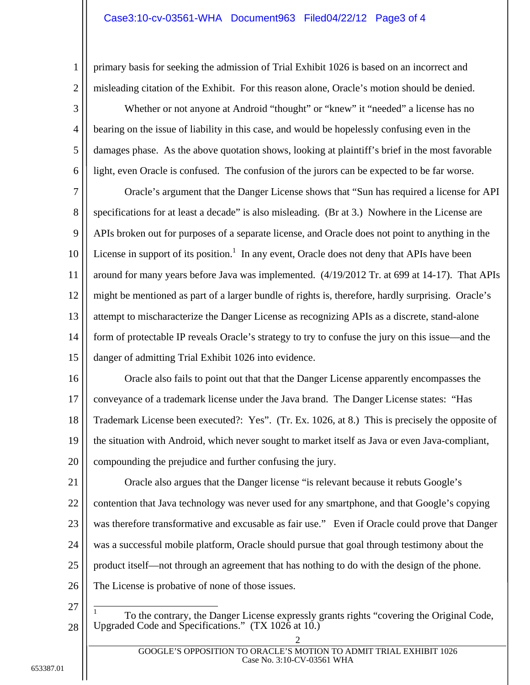## Case3:10-cv-03561-WHA Document963 Filed04/22/12 Page3 of 4

primary basis for seeking the admission of Trial Exhibit 1026 is based on an incorrect and misleading citation of the Exhibit. For this reason alone, Oracle's motion should be denied.

3 4 5 6 Whether or not anyone at Android "thought" or "knew" it "needed" a license has no bearing on the issue of liability in this case, and would be hopelessly confusing even in the damages phase. As the above quotation shows, looking at plaintiff's brief in the most favorable light, even Oracle is confused. The confusion of the jurors can be expected to be far worse.

7 8 9 10 11 12 13 14 15 Oracle's argument that the Danger License shows that "Sun has required a license for API specifications for at least a decade" is also misleading. (Br at 3.) Nowhere in the License are APIs broken out for purposes of a separate license, and Oracle does not point to anything in the License in support of its position.<sup>1</sup> In any event, Oracle does not deny that APIs have been around for many years before Java was implemented. (4/19/2012 Tr. at 699 at 14-17). That APIs might be mentioned as part of a larger bundle of rights is, therefore, hardly surprising. Oracle's attempt to mischaracterize the Danger License as recognizing APIs as a discrete, stand-alone form of protectable IP reveals Oracle's strategy to try to confuse the jury on this issue—and the danger of admitting Trial Exhibit 1026 into evidence.

16 17 18 19 20 Oracle also fails to point out that that the Danger License apparently encompasses the conveyance of a trademark license under the Java brand. The Danger License states: "Has Trademark License been executed?: Yes". (Tr. Ex. 1026, at 8.) This is precisely the opposite of the situation with Android, which never sought to market itself as Java or even Java-compliant, compounding the prejudice and further confusing the jury.

21 22 23 24 25 26 Oracle also argues that the Danger license "is relevant because it rebuts Google's contention that Java technology was never used for any smartphone, and that Google's copying was therefore transformative and excusable as fair use." Even if Oracle could prove that Danger was a successful mobile platform, Oracle should pursue that goal through testimony about the product itself—not through an agreement that has nothing to do with the design of the phone. The License is probative of none of those issues.

27

 $\overline{1}$ 

28

1

2

1 To the contrary, the Danger License expressly grants rights "covering the Original Code, Upgraded Code and Specifications."  $(TX 1026$  at 10.)